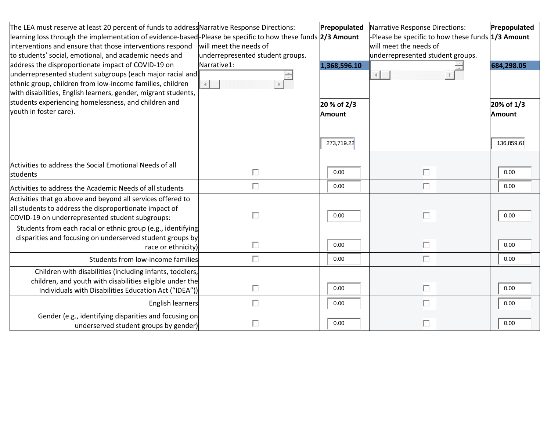| The LEA must reserve at least 20 percent of funds to address Narrative Response Directions:<br>learning loss through the implementation of evidence-based-Please be specific to how these funds 2/3 Amount<br>interventions and ensure that those interventions respond<br>to students' social, emotional, and academic needs and<br>address the disproportionate impact of COVID-19 on<br>underrepresented student subgroups (each major racial and<br>ethnic group, children from low-income families, children<br>with disabilities, English learners, gender, migrant students, | will meet the needs of<br>underrepresented student groups.<br>Narrative1: | Prepopulated<br>1,368,596.10        | Narrative Response Directions:<br>-Please be specific to how these funds 1/3 Amount<br>will meet the needs of<br>underrepresented student groups.<br>$\left\vert 1\right\rangle$ | Prepopulated<br>684,298.05         |
|-------------------------------------------------------------------------------------------------------------------------------------------------------------------------------------------------------------------------------------------------------------------------------------------------------------------------------------------------------------------------------------------------------------------------------------------------------------------------------------------------------------------------------------------------------------------------------------|---------------------------------------------------------------------------|-------------------------------------|----------------------------------------------------------------------------------------------------------------------------------------------------------------------------------|------------------------------------|
| students experiencing homelessness, and children and<br>youth in foster care).                                                                                                                                                                                                                                                                                                                                                                                                                                                                                                      |                                                                           | 20 % of 2/3<br>Amount<br>273,719.22 |                                                                                                                                                                                  | 20% of 1/3<br>Amount<br>136,859.61 |
| Activities to address the Social Emotional Needs of all<br>students                                                                                                                                                                                                                                                                                                                                                                                                                                                                                                                 | П                                                                         | 0.00                                | П                                                                                                                                                                                | 0.00                               |
| Activities to address the Academic Needs of all students                                                                                                                                                                                                                                                                                                                                                                                                                                                                                                                            | П                                                                         | 0.00                                | П                                                                                                                                                                                | 0.00                               |
| Activities that go above and beyond all services offered to<br>all students to address the disproportionate impact of<br>COVID-19 on underrepresented student subgroups:                                                                                                                                                                                                                                                                                                                                                                                                            | П                                                                         | 0.00                                | П                                                                                                                                                                                | 0.00                               |
| Students from each racial or ethnic group (e.g., identifying<br>disparities and focusing on underserved student groups by<br>race or ethnicity)                                                                                                                                                                                                                                                                                                                                                                                                                                     | П                                                                         | 0.00                                | П                                                                                                                                                                                | 0.00                               |
| Students from low-income families                                                                                                                                                                                                                                                                                                                                                                                                                                                                                                                                                   | П                                                                         | 0.00                                | П                                                                                                                                                                                | 0.00                               |
| Children with disabilities (including infants, toddlers,<br>children, and youth with disabilities eligible under the<br>Individuals with Disabilities Education Act ("IDEA"))                                                                                                                                                                                                                                                                                                                                                                                                       | П                                                                         | 0.00                                | П                                                                                                                                                                                | 0.00                               |
| English learners<br>Gender (e.g., identifying disparities and focusing on<br>underserved student groups by gender)                                                                                                                                                                                                                                                                                                                                                                                                                                                                  | П<br>П                                                                    | 0.00<br>0.00                        | П<br>П                                                                                                                                                                           | 0.00<br>0.00                       |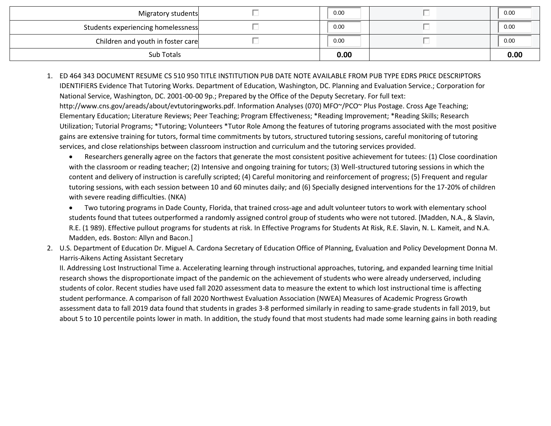| Migratory students                 | 0.00 | 0.00 |
|------------------------------------|------|------|
| Students experiencing homelessness | 0.00 | 0.00 |
| Children and youth in foster care  | 0.00 | 0.00 |
| Sub Totals                         | 0.00 | 0.00 |

- 1. ED 464 343 DOCUMENT RESUME CS 510 950 TITLE INSTITUTION PUB DATE NOTE AVAILABLE FROM PUB TYPE EDRS PRICE DESCRIPTORS IDENTIFIERS Evidence That Tutoring Works. Department of Education, Washington, DC. Planning and Evaluation Service.; Corporation for National Service, Washington, DC. 2001-00-00 9p.; Prepared by the Office of the Deputy Secretary. For full text: http://www.cns.gov/areads/about/evtutoringworks.pdf. Information Analyses (070) MFO~/PCO~ Plus Postage. Cross Age Teaching; Elementary Education; Literature Reviews; Peer Teaching; Program Effectiveness; \*Reading Improvement; \*Reading Skills; Research Utilization; Tutorial Programs; \*Tutoring; Volunteers \*Tutor Role Among the features of tutoring programs associated with the most positive gains are extensive training for tutors, formal time commitments by tutors, structured tutoring sessions, careful monitoring of tutoring services, and close relationships between classroom instruction and curriculum and the tutoring services provided.
	- Researchers generally agree on the factors that generate the most consistent positive achievement for tutees: (1) Close coordination with the classroom or reading teacher; (2) Intensive and ongoing training for tutors; (3) Well-structured tutoring sessions in which the content and delivery of instruction is carefully scripted; (4) Careful monitoring and reinforcement of progress; (5) Frequent and regular tutoring sessions, with each session between 10 and 60 minutes daily; and (6) Specially designed interventions for the 17-20% of children with severe reading difficulties. (NKA)
	- Two tutoring programs in Dade County, Florida, that trained cross-age and adult volunteer tutors to work with elementary school students found that tutees outperformed a randomly assigned control group of students who were not tutored. [Madden, N.A., & Slavin, R.E. (1 989). Effective pullout programs for students at risk. In Effective Programs for Students At Risk, R.E. Slavin, N. L. Kameit, and N.A. Madden, eds. Boston: Allyn and Bacon.]
- 2. U.S. Department of Education Dr. Miguel A. Cardona Secretary of Education Office of Planning, Evaluation and Policy Development Donna M. Harris-Aikens Acting Assistant Secretary

II. Addressing Lost Instructional Time a. Accelerating learning through instructional approaches, tutoring, and expanded learning time Initial research shows the disproportionate impact of the pandemic on the achievement of students who were already underserved, including students of color. Recent studies have used fall 2020 assessment data to measure the extent to which lost instructional time is affecting student performance. A comparison of fall 2020 Northwest Evaluation Association (NWEA) Measures of Academic Progress Growth assessment data to fall 2019 data found that students in grades 3-8 performed similarly in reading to same-grade students in fall 2019, but about 5 to 10 percentile points lower in math. In addition, the study found that most students had made some learning gains in both reading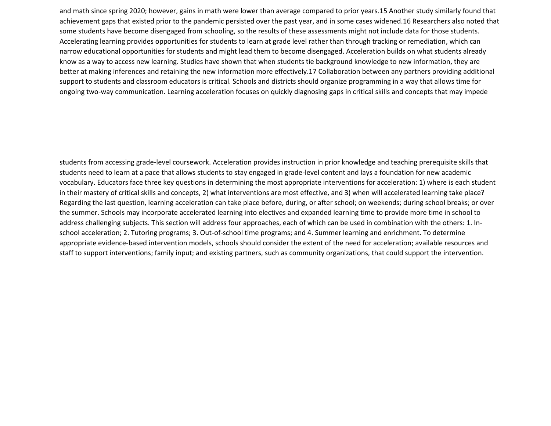and math since spring 2020; however, gains in math were lower than average compared to prior years.15 Another study similarly found that achievement gaps that existed prior to the pandemic persisted over the past year, and in some cases widened.16 Researchers also noted that some students have become disengaged from schooling, so the results of these assessments might not include data for those students. Accelerating learning provides opportunities for students to learn at grade level rather than through tracking or remediation, which can narrow educational opportunities for students and might lead them to become disengaged. Acceleration builds on what students already know as a way to access new learning. Studies have shown that when students tie background knowledge to new information, they are better at making inferences and retaining the new information more effectively.17 Collaboration between any partners providing additional support to students and classroom educators is critical. Schools and districts should organize programming in a way that allows time for ongoing two-way communication. Learning acceleration focuses on quickly diagnosing gaps in critical skills and concepts that may impede

students from accessing grade-level coursework. Acceleration provides instruction in prior knowledge and teaching prerequisite skills that students need to learn at a pace that allows students to stay engaged in grade-level content and lays a foundation for new academic vocabulary. Educators face three key questions in determining the most appropriate interventions for acceleration: 1) where is each student in their mastery of critical skills and concepts, 2) what interventions are most effective, and 3) when will accelerated learning take place? Regarding the last question, learning acceleration can take place before, during, or after school; on weekends; during school breaks; or over the summer. Schools may incorporate accelerated learning into electives and expanded learning time to provide more time in school to address challenging subjects. This section will address four approaches, each of which can be used in combination with the others: 1. Inschool acceleration; 2. Tutoring programs; 3. Out-of-school time programs; and 4. Summer learning and enrichment. To determine appropriate evidence-based intervention models, schools should consider the extent of the need for acceleration; available resources and staff to support interventions; family input; and existing partners, such as community organizations, that could support the intervention.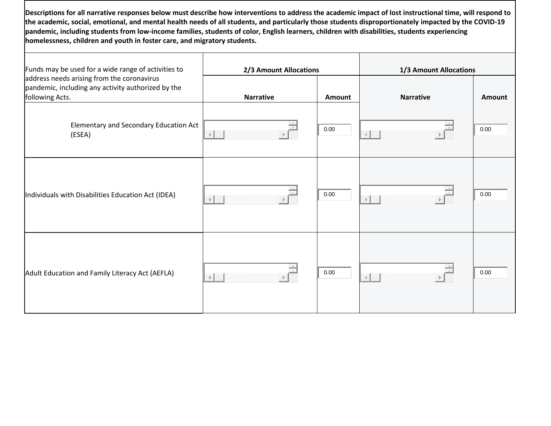**Descriptions for all narrative responses below must describe how interventions to address the academic impact of lost instructional time, will respond to the academic, social, emotional, and mental health needs of all students, and particularly those students disproportionately impacted by the COVID-19 pandemic, including students from low-income families, students of color, English learners, children with disabilities, students experiencing homelessness, children and youth in foster care, and migratory students.**

| Funds may be used for a wide range of activities to                                                                 | 2/3 Amount Allocations |        | 1/3 Amount Allocations |        |  |
|---------------------------------------------------------------------------------------------------------------------|------------------------|--------|------------------------|--------|--|
| address needs arising from the coronavirus<br>pandemic, including any activity authorized by the<br>following Acts. | <b>Narrative</b>       | Amount | <b>Narrative</b>       | Amount |  |
| Elementary and Secondary Education Act<br>(ESEA)                                                                    |                        | 0.00   |                        | 0.00   |  |
| Individuals with Disabilities Education Act (IDEA)                                                                  |                        | 0.00   |                        | 0.00   |  |
| Adult Education and Family Literacy Act (AEFLA)                                                                     |                        | 0.00   |                        | 0.00   |  |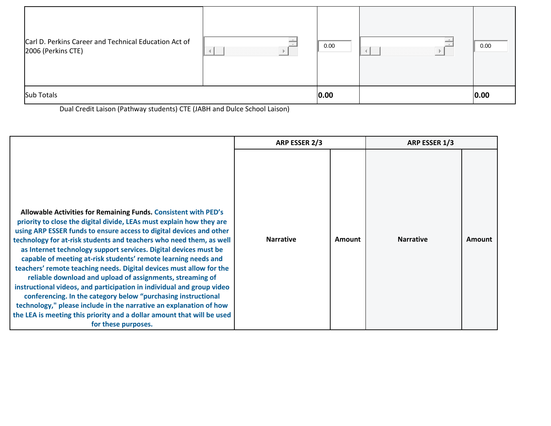| Carl D. Perkins Career and Technical Education Act of<br>2006 (Perkins CTE) |  | 0.00 | 0.00 |
|-----------------------------------------------------------------------------|--|------|------|
| <b>Sub Totals</b>                                                           |  | 0.00 | 0.00 |

Dual Credit Laison (Pathway students) CTE (JABH and Dulce School Laison)

|                                                                                                                                                                                                                                                                                                                                                                                                                                                                                                                                                                                                                                                                                                                                                                                                                                                                                  | ARP ESSER 2/3    |        | ARP ESSER 1/3    |        |
|----------------------------------------------------------------------------------------------------------------------------------------------------------------------------------------------------------------------------------------------------------------------------------------------------------------------------------------------------------------------------------------------------------------------------------------------------------------------------------------------------------------------------------------------------------------------------------------------------------------------------------------------------------------------------------------------------------------------------------------------------------------------------------------------------------------------------------------------------------------------------------|------------------|--------|------------------|--------|
| Allowable Activities for Remaining Funds. Consistent with PED's<br>priority to close the digital divide, LEAs must explain how they are<br>using ARP ESSER funds to ensure access to digital devices and other<br>technology for at-risk students and teachers who need them, as well<br>as Internet technology support services. Digital devices must be<br>capable of meeting at-risk students' remote learning needs and<br>teachers' remote teaching needs. Digital devices must allow for the<br>reliable download and upload of assignments, streaming of<br>instructional videos, and participation in individual and group video<br>conferencing. In the category below "purchasing instructional<br>technology," please include in the narrative an explanation of how<br>the LEA is meeting this priority and a dollar amount that will be used<br>for these purposes. | <b>Narrative</b> | Amount | <b>Narrative</b> | Amount |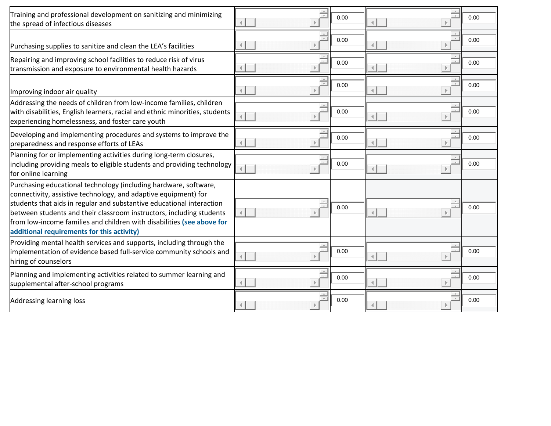| Training and professional development on sanitizing and minimizing<br>the spread of infectious diseases                                                                                                                                                                                                                                                                                                      |                      | 0.00 |        | 0.00 |
|--------------------------------------------------------------------------------------------------------------------------------------------------------------------------------------------------------------------------------------------------------------------------------------------------------------------------------------------------------------------------------------------------------------|----------------------|------|--------|------|
| Purchasing supplies to sanitize and clean the LEA's facilities                                                                                                                                                                                                                                                                                                                                               |                      | 0.00 |        | 0.00 |
| Repairing and improving school facilities to reduce risk of virus<br>transmission and exposure to environmental health hazards                                                                                                                                                                                                                                                                               |                      | 0.00 |        | 0.00 |
| Improving indoor air quality                                                                                                                                                                                                                                                                                                                                                                                 |                      | 0.00 |        | 0.00 |
| Addressing the needs of children from low-income families, children<br>with disabilities, English learners, racial and ethnic minorities, students<br>experiencing homelessness, and foster care youth                                                                                                                                                                                                       | $\rightarrow$        | 0.00 |        | 0.00 |
| Developing and implementing procedures and systems to improve the<br>preparedness and response efforts of LEAs                                                                                                                                                                                                                                                                                               |                      | 0.00 |        | 0.00 |
| Planning for or implementing activities during long-term closures,<br>including providing meals to eligible students and providing technology<br>for online learning                                                                                                                                                                                                                                         | $\rightarrow$        | 0.00 |        | 0.00 |
| Purchasing educational technology (including hardware, software,<br>connectivity, assistive technology, and adaptive equipment) for<br>students that aids in regular and substantive educational interaction<br>between students and their classroom instructors, including students<br>from low-income families and children with disabilities (see above for<br>additional requirements for this activity) | $\rightarrow$<br>4.  | 0.00 |        | 0.00 |
| Providing mental health services and supports, including through the<br>implementation of evidence based full-service community schools and<br>hiring of counselors                                                                                                                                                                                                                                          | $\sim$               | 0.00 | $\sim$ | 0.00 |
| Planning and implementing activities related to summer learning and<br>supplemental after-school programs                                                                                                                                                                                                                                                                                                    | $\frac{\Delta}{\pi}$ | 0.00 |        | 0.00 |
| Addressing learning loss                                                                                                                                                                                                                                                                                                                                                                                     | $\sim$               | 0.00 | $\sim$ | 0.00 |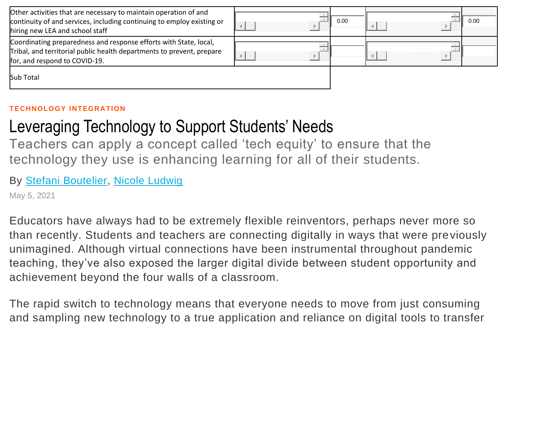| Other activities that are necessary to maintain operation of and<br>continuity of and services, including continuing to employ existing or<br>hiring new LEA and school staff | 0.00 |  | 0.00 |
|-------------------------------------------------------------------------------------------------------------------------------------------------------------------------------|------|--|------|
| Coordinating preparedness and response efforts with State, local,<br>Tribal, and territorial public health departments to prevent, prepare<br>for, and respond to COVID-19.   |      |  |      |
| Sub Total                                                                                                                                                                     |      |  |      |

#### **TECHNOLOGY INTEGRATION**

# Leveraging Technology to Support Students' Needs

Teachers can apply a concept called 'tech equity' to ensure that the technology they use is enhancing learning for all of their students.

### By [Stefani Boutelier,](https://www.edutopia.org/profile/stefani-boutelier) [Nicole Ludwig](https://www.edutopia.org/profile/nicole-ludwig)

May 5, 2021

Educators have always had to be extremely flexible reinventors, perhaps never more so than recently. Students and teachers are connecting digitally in ways that were previously unimagined. Although virtual connections have been instrumental throughout pandemic teaching, they've also exposed the larger digital divide between student opportunity and achievement beyond the four walls of a classroom.

The rapid switch to technology means that everyone needs to move from just consuming and sampling new technology to a true application and reliance on digital tools to transfer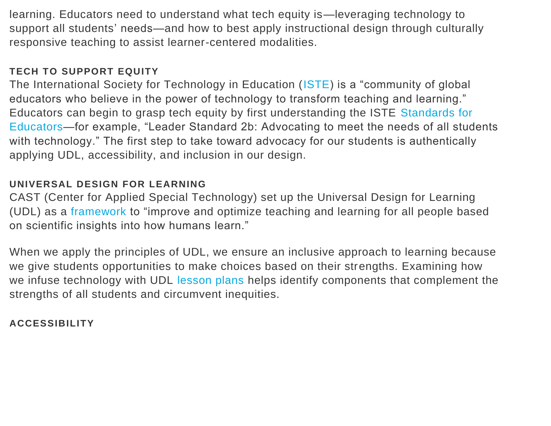learning. Educators need to understand what tech equity is—leveraging technology to support all students' needs—and how to best apply instructional design through culturally responsive teaching to assist learner-centered modalities.

### **TECH TO SUPPORT EQUITY**

The International Society for Technology in Education [\(ISTE\)](https://www.iste.org/) is a "community of global educators who believe in the power of technology to transform teaching and learning." Educators can begin to grasp tech equity by first understanding the ISTE [Standards for](https://www.iste.org/standards/for-educators)  [Educators—](https://www.iste.org/standards/for-educators)for example, "Leader Standard 2b: Advocating to meet the needs of all students with technology." The first step to take toward advocacy for our students is authentically applying UDL, accessibility, and inclusion in our design.

### **UNIVERSAL DESIGN FOR LEARNING**

CAST (Center for Applied Special Technology) set up the Universal Design for Learning (UDL) as a [framework](https://www.cast.org/impact/universal-design-for-learning-udl) to "improve and optimize teaching and learning for all people based on scientific insights into how humans learn."

When we apply the principles of UDL, we ensure an inclusive approach to learning because we give students opportunities to make choices based on their strengths. Examining how we infuse technology with UDL [lesson plans](https://iris.peabody.vanderbilt.edu/module/udl/cresource/q2/p08/) helps identify components that complement the strengths of all students and circumvent inequities.

### **ACCESSIBILITY**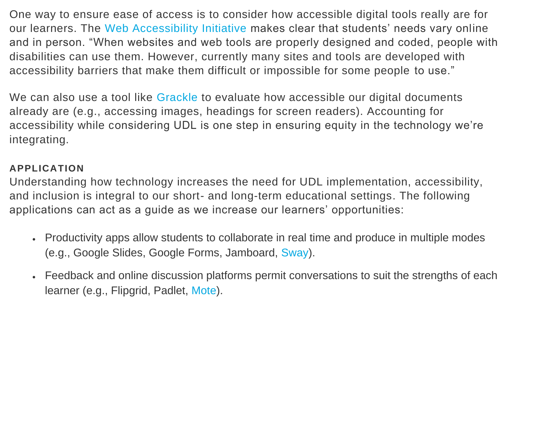One way to ensure ease of access is to consider how accessible digital tools really are for our learners. The [Web Accessibility Initiative](https://www.w3.org/WAI/fundamentals/accessibility-intro/) makes clear that students' needs vary online and in person. "When websites and web tools are properly designed and coded, people with disabilities can use them. However, currently many sites and tools are developed with accessibility barriers that make them difficult or impossible for some people to use."

We can also use a tool like [Grackle](https://www.grackledocs.com/how-it-works/) to evaluate how accessible our digital documents already are (e.g., accessing images, headings for screen readers). Accounting for accessibility while considering UDL is one step in ensuring equity in the technology we're integrating.

### **APPLICATION**

Understanding how technology increases the need for UDL implementation, accessibility, and inclusion is integral to our short- and long-term educational settings. The following applications can act as a guide as we increase our learners' opportunities:

- Productivity apps allow students to collaborate in real time and produce in multiple modes (e.g., Google Slides, Google Forms, Jamboard, [Sway\)](https://sway.office.com/).
- Feedback and online discussion platforms permit conversations to suit the strengths of each learner (e.g., Flipgrid, Padlet, [Mote\)](https://www.justmote.me/).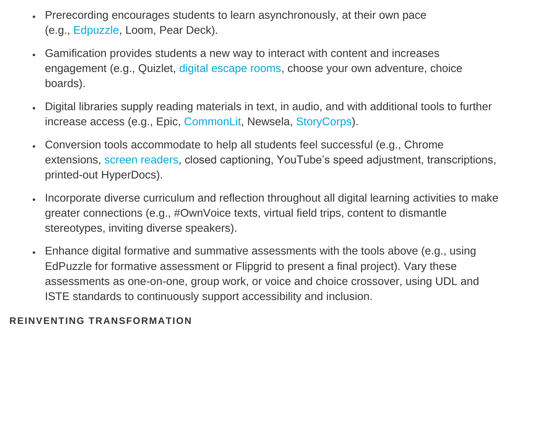- Prerecording encourages students to learn asynchronously, at their own pace (e.g., [Edpuzzle,](https://edpuzzle.com/) Loom, Pear Deck).
- Gamification provides students a new way to interact with content and increases engagement (e.g., Quizlet, [digital escape rooms,](https://ditchthattextbook.com/30-digital-escape-rooms-plus-tips-and-tools-for-creating-your-own/) choose your own adventure, choice boards).
- Digital libraries supply reading materials in text, in audio, and with additional tools to further increase access (e.g., Epic, [CommonLit,](https://www.commonlit.org/) Newsela, [StoryCorps\)](https://storycorps.org/).
- Conversion tools accommodate to help all students feel successful (e.g., Chrome extensions, [screen readers,](https://usabilitygeek.com/10-free-screen-reader-blind-visually-impaired-users/) closed captioning, YouTube's speed adjustment, transcriptions, printed-out HyperDocs).
- Incorporate diverse curriculum and reflection throughout all digital learning activities to make greater connections (e.g., #OwnVoice texts, virtual field trips, content to dismantle stereotypes, inviting diverse speakers).
- Enhance digital formative and summative assessments with the tools above (e.g., using EdPuzzle for formative assessment or Flipgrid to present a final project). Vary these assessments as one-on-one, group work, or voice and choice crossover, using UDL and ISTE standards to continuously support accessibility and inclusion.

### **REINVENTING TRANSFORMATION**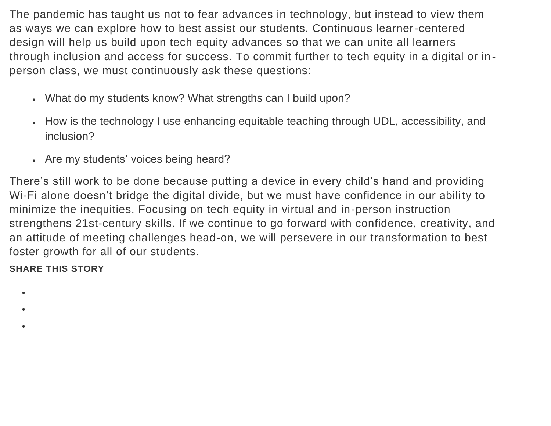The pandemic has taught us not to fear advances in technology, but instead to view them as ways we can explore how to best assist our students. Continuous learner-centered design will help us build upon tech equity advances so that we can unite all learners through inclusion and access for success. To commit further to tech equity in a digital or inperson class, we must continuously ask these questions:

- What do my students know? What strengths can I build upon?
- How is the technology I use enhancing equitable teaching through UDL, accessibility, and inclusion?
- Are my students' voices being heard?

There's still work to be done because putting a device in every child's hand and providing Wi-Fi alone doesn't bridge the digital divide, but we must have confidence in our ability to minimize the inequities. Focusing on tech equity in virtual and in-person instruction strengthens 21st-century skills. If we continue to go forward with confidence, creativity, and an attitude of meeting challenges head-on, we will persevere in our transformation to best foster growth for all of our students.

**SHARE THIS STORY**

- $\bullet$
- •
- •
- - - - -
- -
	- -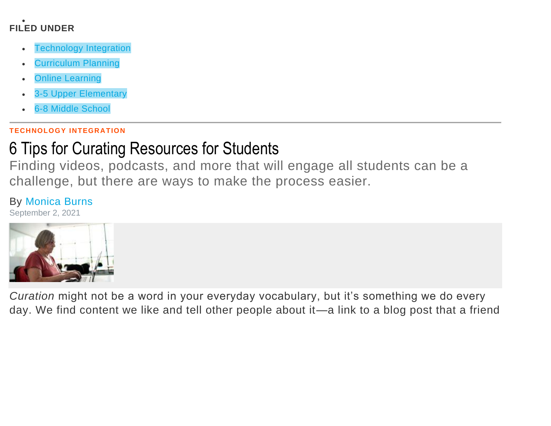#### • **FILED UNDER**

- **[Technology Integration](https://www.edutopia.org/technology-integration)**
- [Curriculum Planning](https://www.edutopia.org/topic/curriculum-planning)
- [Online Learning](https://www.edutopia.org/topic/online-learning)
- [3-5 Upper Elementary](https://www.edutopia.org/grade-level-3-5)
- [6-8 Middle School](https://www.edutopia.org/grade-level-6-8)

#### **TECHNOLOGY INTEGRATION**

# [6 Tips for Curating Resources for Students](https://www.edutopia.org/article/6-tips-curating-resources-students)

Finding videos, podcasts, and more that will engage all students can be a challenge, but there are ways to make the process easier.

## By [Monica Burns](https://www.edutopia.org/profile/monica-burns)

September 2, 2021



*Curation* might not be a word in your everyday vocabulary, but it's something we do every day. We find content we like and tell other people about it—a link to a blog post that a friend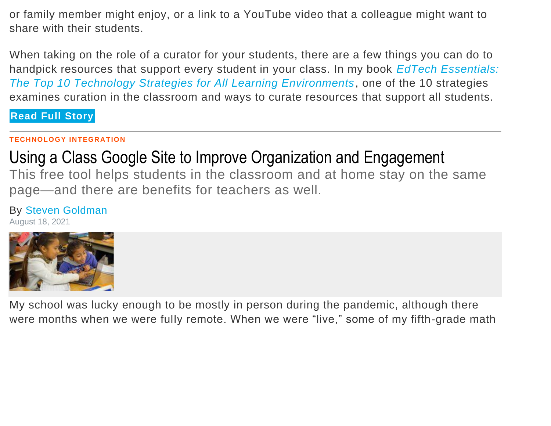or family member might enjoy, or a link to a YouTube video that a colleague might want to share with their students.

When taking on the role of a curator for your students, there are a few things you can do to handpick resources that support every student in your class. In my book *[EdTech Essentials:](https://www.ascd.org/books/edtech-essentials?variant=121021)  [The Top 10 Technology Strategies for All Learning Environments](https://www.ascd.org/books/edtech-essentials?variant=121021)*, one of the 10 strategies examines curation in the classroom and ways to curate resources that support all students.

**Read Full [Story](https://www.edutopia.org/article/6-tips-curating-resources-students)**

### **TECHNOLOGY INTEGRATION**

# [Using a Class Google Site to Improve Organization and Engagement](https://www.edutopia.org/article/using-class-google-site-improve-organization-and-engagement)

This free tool helps students in the classroom and at home stay on the same page—and there are benefits for teachers as well.

## By [Steven Goldman](https://www.edutopia.org/profile/steven-goldman)

August 18, 2021



My school was lucky enough to be mostly in person during the pandemic, although there were months when we were fully remote. When we were "live," some of my fifth-grade math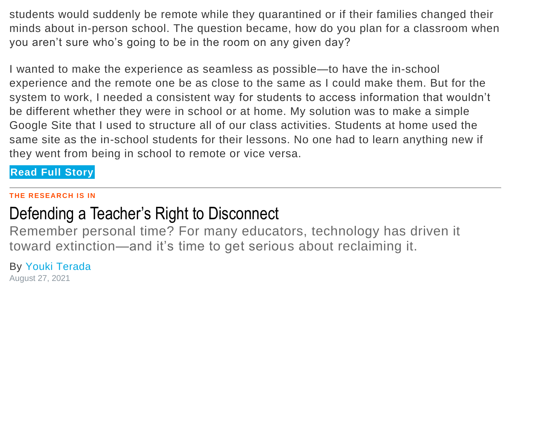students would suddenly be remote while they quarantined or if their families changed their minds about in-person school. The question became, how do you plan for a classroom when you aren't sure who's going to be in the room on any given day?

I wanted to make the experience as seamless as possible—to have the in-school experience and the remote one be as close to the same as I could make them. But for the system to work, I needed a consistent way for students to access information that wouldn't be different whether they were in school or at home. My solution was to make a simple Google Site that I used to structure all of our class activities. Students at home used the same site as the in-school students for their lessons. No one had to learn anything new if they went from being in school to remote or vice versa.

### **Read Full [Story](https://www.edutopia.org/article/using-class-google-site-improve-organization-and-engagement)**

#### **THE RESEARCH IS IN**

# [Defending a Teacher's Right to Disconnect](https://www.edutopia.org/article/defending-teachers-right-disconnect)

Remember personal time? For many educators, technology has driven it toward extinction—and it's time to get serious about reclaiming it.

By [Youki Terada](https://www.edutopia.org/profile/youki-terada) August 27, 2021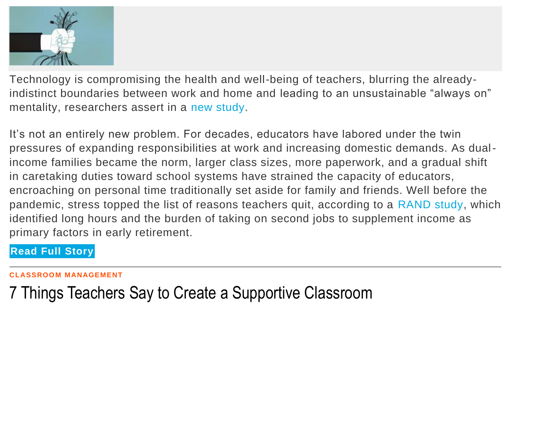

Technology is compromising the health and well-being of teachers, blurring the alreadyindistinct boundaries between work and home and leading to an unsustainable "always on" mentality, researchers assert in a [new study.](https://link.springer.com/chapter/10.1007/978-3-030-67349-9_23)

It's not an entirely new problem. For decades, educators have labored under the twin pressures of expanding responsibilities at work and increasing domestic demands. As dualincome families became the norm, larger class sizes, more paperwork, and a gradual shift in caretaking duties toward school systems have strained the capacity of educators, encroaching on personal time traditionally set aside for family and friends. Well before the pandemic, stress topped the list of reasons teachers quit, according to a [RAND study,](https://www.rand.org/pubs/research_reports/RRA1121-2.html) which identified long hours and the burden of taking on second jobs to supplement income as primary factors in early retirement.

**Read Full [Story](https://www.edutopia.org/article/defending-teachers-right-disconnect)**

[7 Things Teachers Say to Create a Supportive Classroom](https://www.edutopia.org/article/7-things-teachers-say-create-supportive-classroom)

**CLASSROOM MANAGEMENT**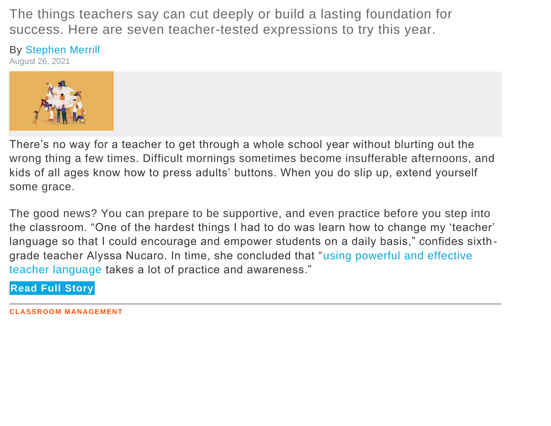The things teachers say can cut deeply or build a lasting foundation for success. Here are seven teacher-tested expressions to try this year.

### By [Stephen Merrill](https://www.edutopia.org/profile/stephen-merrill)

August 26, 2021



There's no way for a teacher to get through a whole school year without blurting out the wrong thing a few times. Difficult mornings sometimes become insufferable afternoons, and kids of all ages know how to press adults' buttons. When you do slip up, extend yourself some grace.

The good news? You can prepare to be supportive, and even practice before you step into the classroom. "One of the hardest things I had to do was learn how to change my 'teacher' language so that I could encourage and empower students on a daily basis," confides sixthgrade teacher Alyssa Nucaro. In time, she concluded that ["using powerful and effective](https://www.edutopia.org/article/positive-words-go-long-way)  [teacher language](https://www.edutopia.org/article/positive-words-go-long-way) takes a lot of practice and awareness."

**Read Full [Story](https://www.edutopia.org/article/7-things-teachers-say-create-supportive-classroom)**

**CLASSROOM MANAGEMENT**